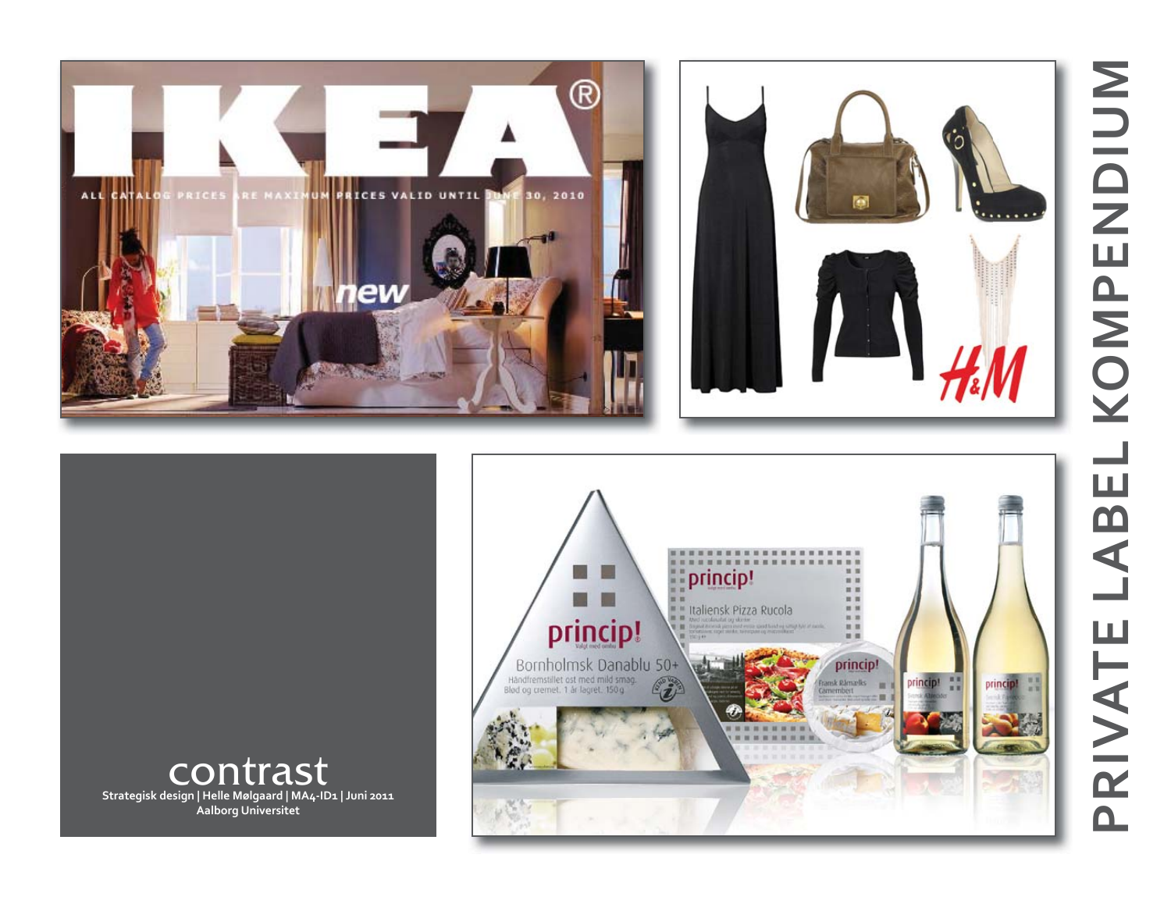





contrast **Strategisk design | Helle Mølgaard | MA4-ID1 | Juni 2011 Aalborg Universitet**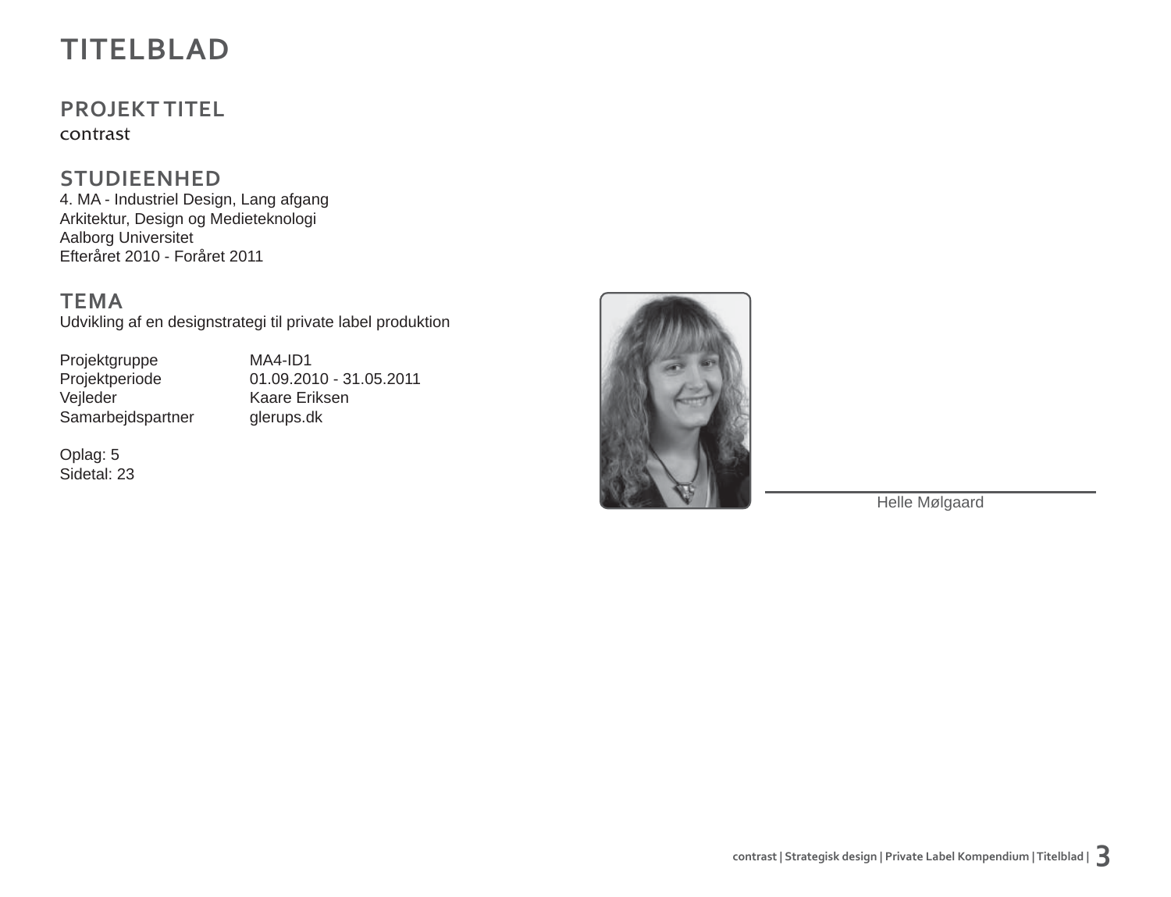## **TITELBLAD**

## **PROJEKT TITEL**

contrast

### **STUDIEENHED**

4. MA - Industriel Design, Lang afgang Arkitektur, Design og Medieteknologi Aalborg Universitet Efteråret 2010 - Foråret 2011

**TEMA**

Udvikling af en designstrategi til private label produktion

Projektgruppe MA4-ID1<br>Projektperiode 01.09.20 Samarbejdspartner

Projektperiode 01.09.2010 - 31.05.2011<br>Vejleder Kaare Eriksen Kaare Eriksen<br>glerups.dk

Oplag: 5 Sidetal: 23



Helle Mølgaard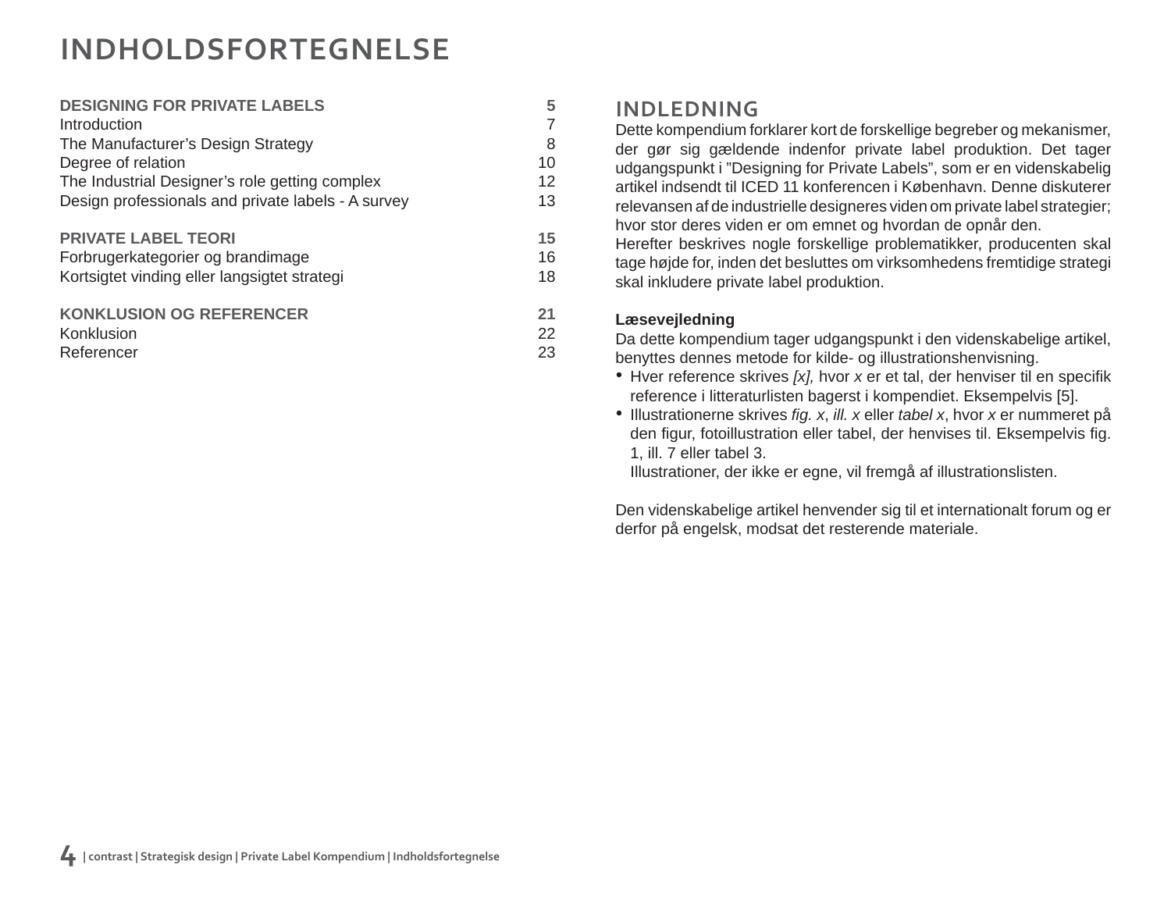## **INDHOLDSFORTEGNELSE**

| <b>DESIGNING FOR PRIVATE LABELS</b>                | 5  |
|----------------------------------------------------|----|
| Introduction                                       | 7  |
|                                                    |    |
| The Manufacturer's Design Strategy                 | 8  |
| Degree of relation                                 | 10 |
| The Industrial Designer's role getting complex     | 12 |
| Design professionals and private labels - A survey | 13 |
| <b>PRIVATE LABEL TEORI</b>                         | 15 |
| Forbrugerkategorier og brandimage                  | 16 |
| Kortsigtet vinding eller langsigtet strategi       | 18 |
| <b>KONKLUSION OG REFERENCER</b>                    | 21 |
| Konklusion                                         | 22 |
| Referencer                                         | 23 |

### **INDLEDNING**

Dette kompendium forklarer kort de forskellige begreber og mekanismer, der gør sig gældende indenfor private label produktion. Det tager udgangspunkt i "Designing for Private Labels", som er en videnskabelig artikel indsendt til ICED 11 konferencen i København. Denne diskuterer relevansen af de industrielle designeres viden om private label strategier; hvor stor deres viden er om emnet og hvordan de opnår den.

Herefter beskrives nogle forskellige problematikker, producenten skal tage højde for, inden det besluttes om virksomhedens fremtidige strategi skal inkludere private label produktion.

#### **Læsevejledning**

Da dette kompendium tager udgangspunkt i den videnskabelige artikel, benyttes dennes metode for kilde- og illustrationshenvisning.

- Hver reference skrives [x], hvor x er et tal, der henviser til en specifik reference i litteraturlisten bagerst i kompendiet. Eksempelvis [5].
- Illustrationerne skrives *fig. x, ill. x* eller *tabel x, hvor x er nummeret på* den figur, fotoillustration eller tabel, der henvises til. Eksempelvis fig. 1, ill. 7 eller tabel 3.

Illustrationer, der ikke er egne, vil fremgå af illustrationslisten.

Den videnskabelige artikel henvender sig til et internationalt forum og er derfor på engelsk, modsat det resterende materiale.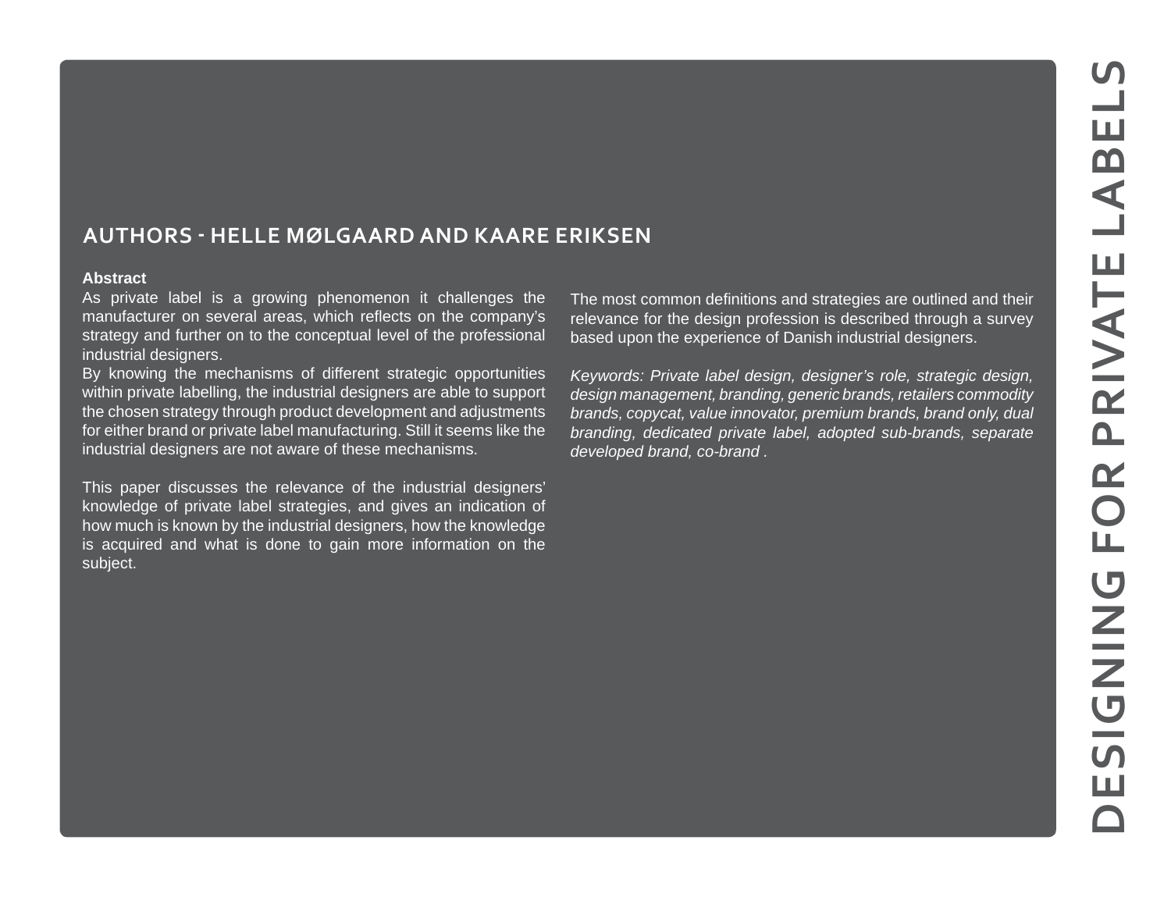### **AUTHORS ‐ HELLE MØLGAARD AND KAARE ERIKSEN**

#### **Abstract**

As private label is a growing phenomenon it challenges the manufacturer on several areas, which reflects on the company's strategy and further on to the conceptual level of the professional industrial designers.

By knowing the mechanisms of different strategic opportunities within private labelling, the industrial designers are able to support the chosen strategy through product development and adjustments for either brand or private label manufacturing. Still it seems like the industrial designers are not aware of these mechanisms.

This paper discusses the relevance of the industrial designers' knowledge of private label strategies, and gives an indication of how much is known by the industrial designers, how the knowledge is acquired and what is done to gain more information on the subject.

The most common definitions and strategies are outlined and their relevance for the design profession is described through a survey based upon the experience of Danish industrial designers.

*Keywords: Private label design, designer's role, strategic design, design management, branding, generic brands, retailers commodity brands, copycat, value innovator, premium brands, brand only, dual branding, dedicated private label, adopted sub-brands, separate developed brand, co-brand .*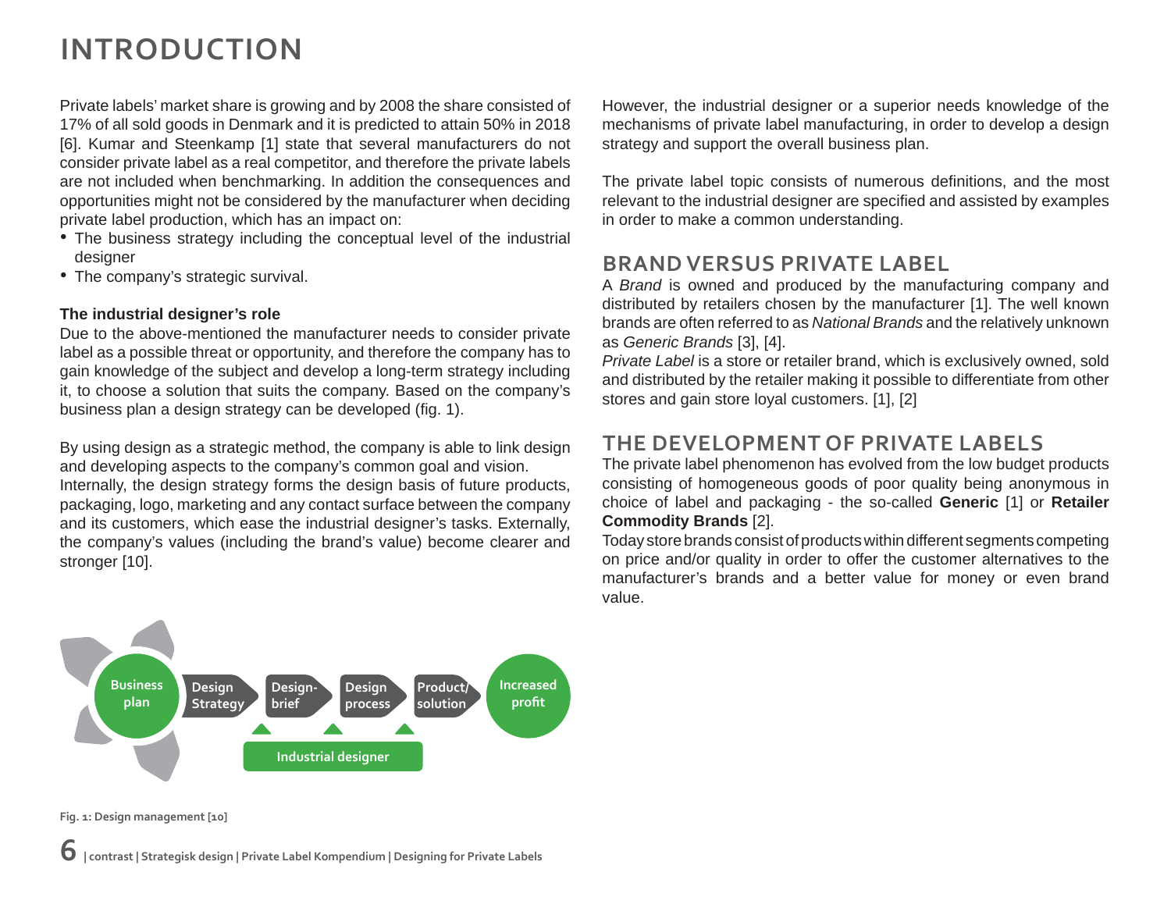## **INTRODUCTION**

Private labels' market share is growing and by 2008 the share consisted of 17% of all sold goods in Denmark and it is predicted to attain 50% in 2018 [6]. Kumar and Steenkamp [1] state that several manufacturers do not consider private label as a real competitor, and therefore the private labels are not included when benchmarking. In addition the consequences and opportunities might not be considered by the manufacturer when deciding private label production, which has an impact on:

- The business strategy including the conceptual level of the industrial designer
- The company's strategic survival.

#### **The industrial designer's role**

Due to the above-mentioned the manufacturer needs to consider private label as a possible threat or opportunity, and therefore the company has to gain knowledge of the subject and develop a long-term strategy including it, to choose a solution that suits the company. Based on the company's business plan a design strategy can be developed (fig. 1).

By using design as a strategic method, the company is able to link design and developing aspects to the company's common goal and vision.

Internally, the design strategy forms the design basis of future products, packaging, logo, marketing and any contact surface between the company and its customers, which ease the industrial designer's tasks. Externally, the company's values (including the brand's value) become clearer and stronger [10].

However, the industrial designer or a superior needs knowledge of the mechanisms of private label manufacturing, in order to develop a design strategy and support the overall business plan.

The private label topic consists of numerous definitions, and the most relevant to the industrial designer are specified and assisted by examples in order to make a common understanding.

### **BRAND VERSUS PRIVATE LABEL**

A *Brand* is owned and produced by the manufacturing company and distributed by retailers chosen by the manufacturer [1]. The well known brands are often referred to as *National Brands* and the relatively unknown as *Generic Brands* [3], [4].

*Private Label* is a store or retailer brand, which is exclusively owned, sold and distributed by the retailer making it possible to differentiate from other stores and gain store loyal customers. [1], [2]

### **THE DEVELOPMENT OF PRIVATE LABELS**

The private label phenomenon has evolved from the low budget products consisting of homogeneous goods of poor quality being anonymous in choice of label and packaging - the so-called **Generic** [1] or **Retailer Commodity Brands** [2].

Today store brands consist of products within different segments competing on price and/or quality in order to offer the customer alternatives to the manufacturer's brands and a better value for money or even brand value.

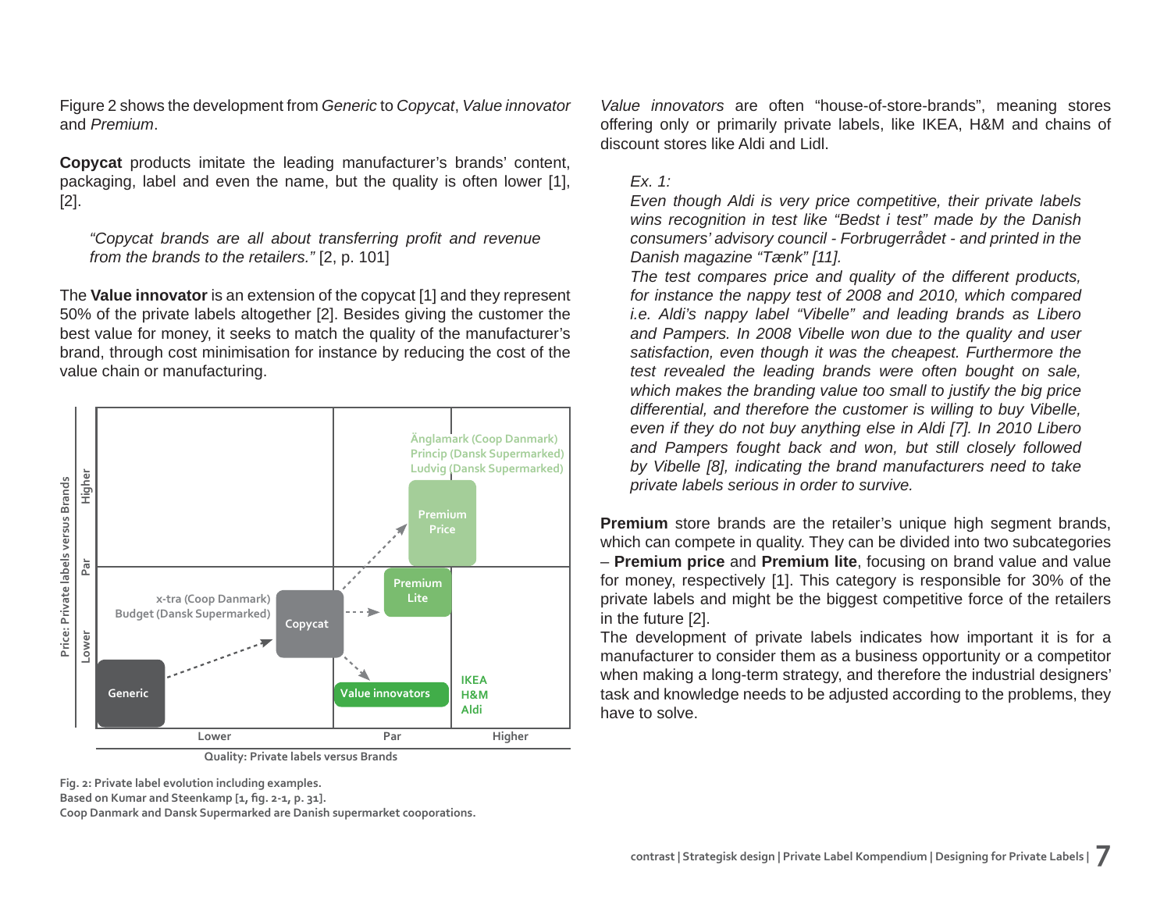Figure 2 shows the development from *Generic* to *Copycat*, *Value innovator* and *Premium*.

**Copycat** products imitate the leading manufacturer's brands' content, packaging, label and even the name, but the quality is often lower [1], [2].

*"Copycat brands are all about transferring profi t and revenue from the brands to the retailers."* [2, p. 101]

The **Value innovator** is an extension of the copycat [1] and they represent 50% of the private labels altogether [2]. Besides giving the customer the best value for money, it seeks to match the quality of the manufacturer's brand, through cost minimisation for instance by reducing the cost of the value chain or manufacturing.



**Quality: Private labels versus Brands**

**Fig. 2: Private label evolution including examples.**

Based on Kumar and Steenkamp [1, fig. 2-1, p. 31].

**Coop Danmark and Dansk Supermarked are Danish supermarket cooporations.**

*Value innovators* are often "house-of-store-brands", meaning stores offering only or primarily private labels, like IKEA, H&M and chains of discount stores like Aldi and Lidl.

#### *Ex. 1:*

*Even though Aldi is very price competitive, their private labels wins recognition in test like "Bedst i test" made by the Danish consumers' advisory council - Forbrugerrådet - and printed in the Danish magazine "Tænk" [11].*

*The test compares price and quality of the different products, for instance the nappy test of 2008 and 2010, which compared i.e. Aldi's nappy label "Vibelle" and leading brands as Libero and Pampers. In 2008 Vibelle won due to the quality and user satisfaction, even though it was the cheapest. Furthermore the test revealed the leading brands were often bought on sale, which makes the branding value too small to justify the big price differential, and therefore the customer is willing to buy Vibelle, even if they do not buy anything else in Aldi [7]. In 2010 Libero and Pampers fought back and won, but still closely followed by Vibelle [8], indicating the brand manufacturers need to take private labels serious in order to survive.*

**Premium** store brands are the retailer's unique high segment brands, which can compete in quality. They can be divided into two subcategories – **Premium price** and **Premium lite**, focusing on brand value and value for money, respectively [1]. This category is responsible for 30% of the private labels and might be the biggest competitive force of the retailers in the future [2].

The development of private labels indicates how important it is for a manufacturer to consider them as a business opportunity or a competitor when making a long-term strategy, and therefore the industrial designers' task and knowledge needs to be adjusted according to the problems, they have to solve.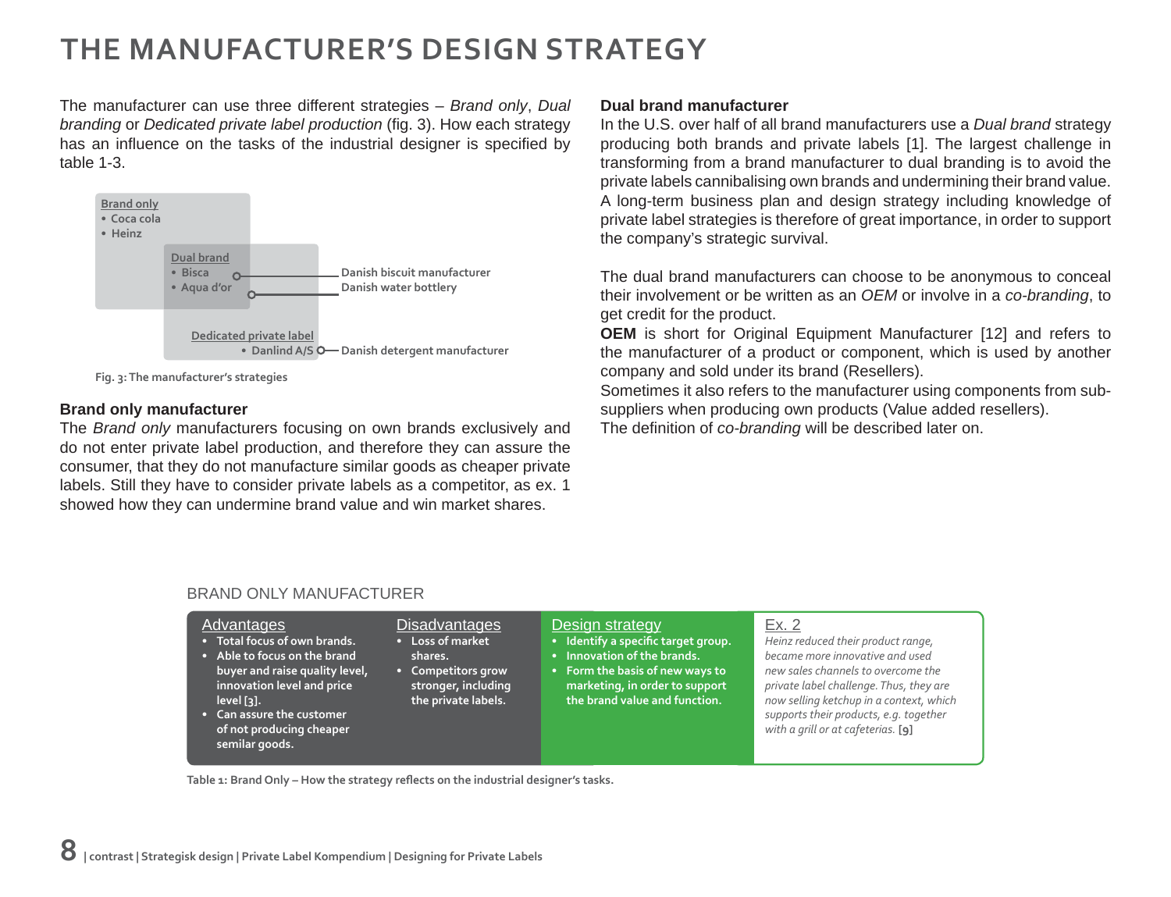## **THE MANUFACTURER'S DESIGN STRATEGY**

The manufacturer can use three different strategies – *Brand only*, *Dual branding* or *Dedicated private label production* (fig. 3). How each strategy has an influence on the tasks of the industrial designer is specified by table 1-3.



**Fig. 3: The manufacturer's strategies**

#### **Brand only manufacturer**

The *Brand only* manufacturers focusing on own brands exclusively and do not enter private label production, and therefore they can assure the consumer, that they do not manufacture similar goods as cheaper private labels. Still they have to consider private labels as a competitor, as ex. 1 showed how they can undermine brand value and win market shares.

#### **Dual brand manufacturer**

In the U.S. over half of all brand manufacturers use a *Dual brand* strategy producing both brands and private labels [1]. The largest challenge in transforming from a brand manufacturer to dual branding is to avoid the private labels cannibalising own brands and undermining their brand value. A long-term business plan and design strategy including knowledge of private label strategies is therefore of great importance, in order to support the company's strategic survival.

The dual brand manufacturers can choose to be anonymous to conceal their involvement or be written as an *OEM* or involve in a *co-branding*, to get credit for the product.

**OEM** is short for Original Equipment Manufacturer [12] and refers to the manufacturer of a product or component, which is used by another company and sold under its brand (Resellers).

Sometimes it also refers to the manufacturer using components from subsuppliers when producing own products (Value added resellers). The definition of *co-branding* will be described later on.

| Advantages<br>. Total focus of own brands.<br>• Able to focus on the brand<br>buyer and raise quality level,<br>innovation level and price<br>level [3].<br>Can assure the customer<br>of not producing cheaper | Disadvantages<br>• Loss of market<br>shares.<br>• Competitors grow<br>stronger, including<br>the private labels. | Design strategy<br>· Identify a specific target group.<br>Innovation of the brands.<br>• Form the basis of new ways to<br>marketing, in order to support<br>the brand value and function. | Ex. 2<br>Heinz reduced their product range,<br>became more innovative and used<br>new sales channels to overcome the<br>private label challenge. Thus, they are<br>now selling ketchup in a context, which<br>supports their products, e.g. together<br>with a grill or at cafeterias. [9] |
|-----------------------------------------------------------------------------------------------------------------------------------------------------------------------------------------------------------------|------------------------------------------------------------------------------------------------------------------|-------------------------------------------------------------------------------------------------------------------------------------------------------------------------------------------|--------------------------------------------------------------------------------------------------------------------------------------------------------------------------------------------------------------------------------------------------------------------------------------------|
| semilar goods.                                                                                                                                                                                                  |                                                                                                                  |                                                                                                                                                                                           |                                                                                                                                                                                                                                                                                            |

#### BRAND ONLY MANUFACTURER

Table 1: Brand Only - How the strategy reflects on the industrial designer's tasks.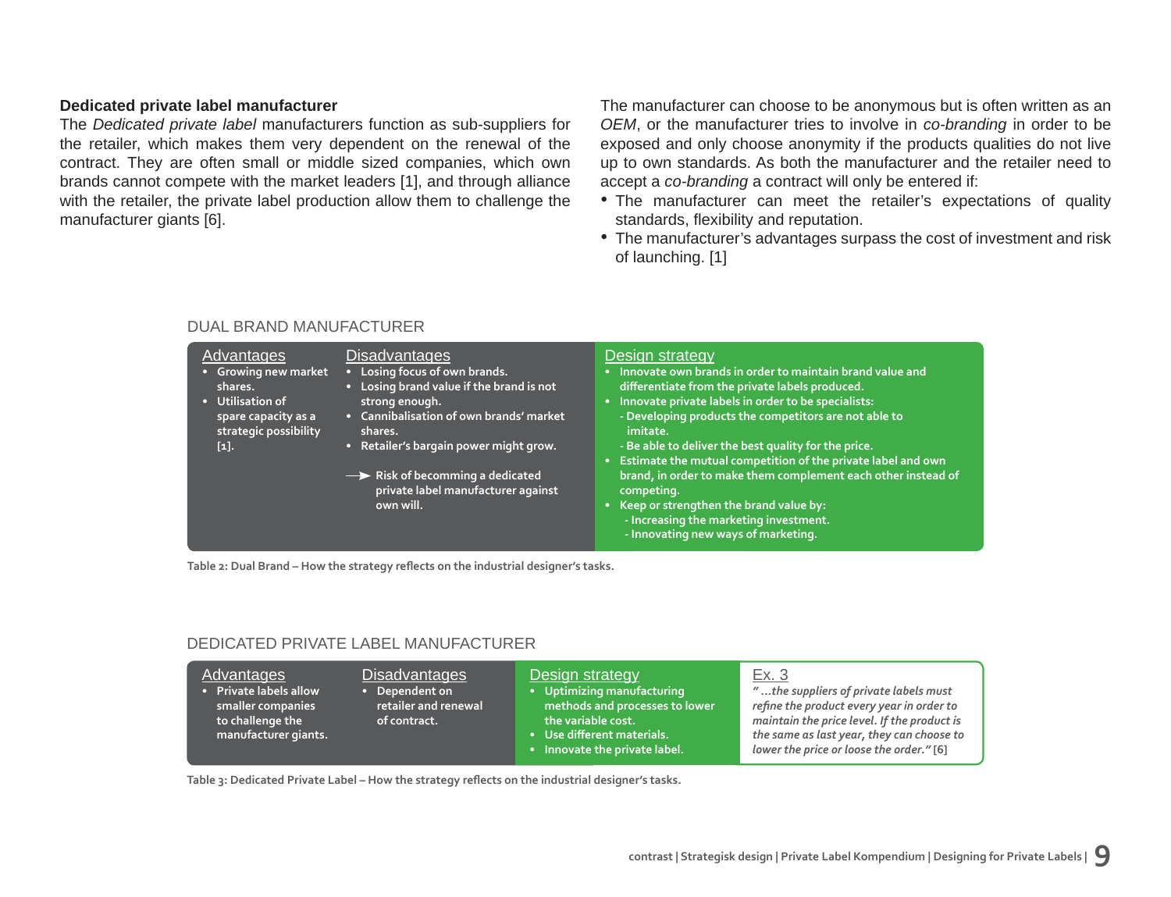#### **Dedicated private label manufacturer**

The *Dedicated private label* manufacturers function as sub-suppliers for the retailer, which makes them very dependent on the renewal of the contract. They are often small or middle sized companies, which own brands cannot compete with the market leaders [1], and through alliance with the retailer, the private label production allow them to challenge the manufacturer giants [6].

DUAL BRAND MANUFACTURER

The manufacturer can choose to be anonymous but is often written as an *OEM*, or the manufacturer tries to involve in *co-branding* in order to be exposed and only choose anonymity if the products qualities do not live up to own standards. As both the manufacturer and the retailer need to accept a *co-branding* a contract will only be entered if:

- The manufacturer can meet the retailer's expectations of quality standards, flexibility and reputation.
- The manufacturer's advantages surpass the cost of investment and risk of launching. [1]

#### **Disadvantages • Losing focus of own brands. • Losing brand value if the brand is not strong enough. • Cannibalisation of own brands' market shares. • Retailer's bargain power might grow.** Risk of becomming a dedicated **private label manufacturer against own will.** Advantages **• Growing new market shares. • Utilisation of spare capacity as a strategic possibility [1].** Design strategy **• Innovate own brands in order to maintain brand value and diff erentiate from the private labels produced. • Innovate private labels in order to be specialists: - Developing products the competitors are not able to imitate. - Be able to deliver the best quality for the price. • Estimate the mutual competition of the private label and own brand, in order to make them complement each other instead of competing. • Keep or strengthen the brand value by: - Increasing the marketing investment. - Innovating new ways of marketing.**

Table 2: Dual Brand – How the strategy reflects on the industrial designer's tasks.

#### DEDICATED PRIVATE LABEL MANUFACTURER

| Advantages<br>· Private labels allow<br>smaller companies<br>  to challenge the ' | Disadvantages<br>• Dependent on<br>retailer and renewal<br>of contract. | Design strategy<br>• Uptimizing manufacturing<br>methods and processes to lower<br>the variable cost. | Ex. 3<br>"the suppliers of private labels must<br>refine the product every year in order to<br>maintain the price level. If the product is |
|-----------------------------------------------------------------------------------|-------------------------------------------------------------------------|-------------------------------------------------------------------------------------------------------|--------------------------------------------------------------------------------------------------------------------------------------------|
| manufacturer giants.                                                              |                                                                         | • Use different materials.                                                                            | the same as last year, they can choose to                                                                                                  |
|                                                                                   |                                                                         | • Innovate the private label.                                                                         | lower the price or loose the order." [6]                                                                                                   |

Table 3: Dedicated Private Label – How the strategy reflects on the industrial designer's tasks.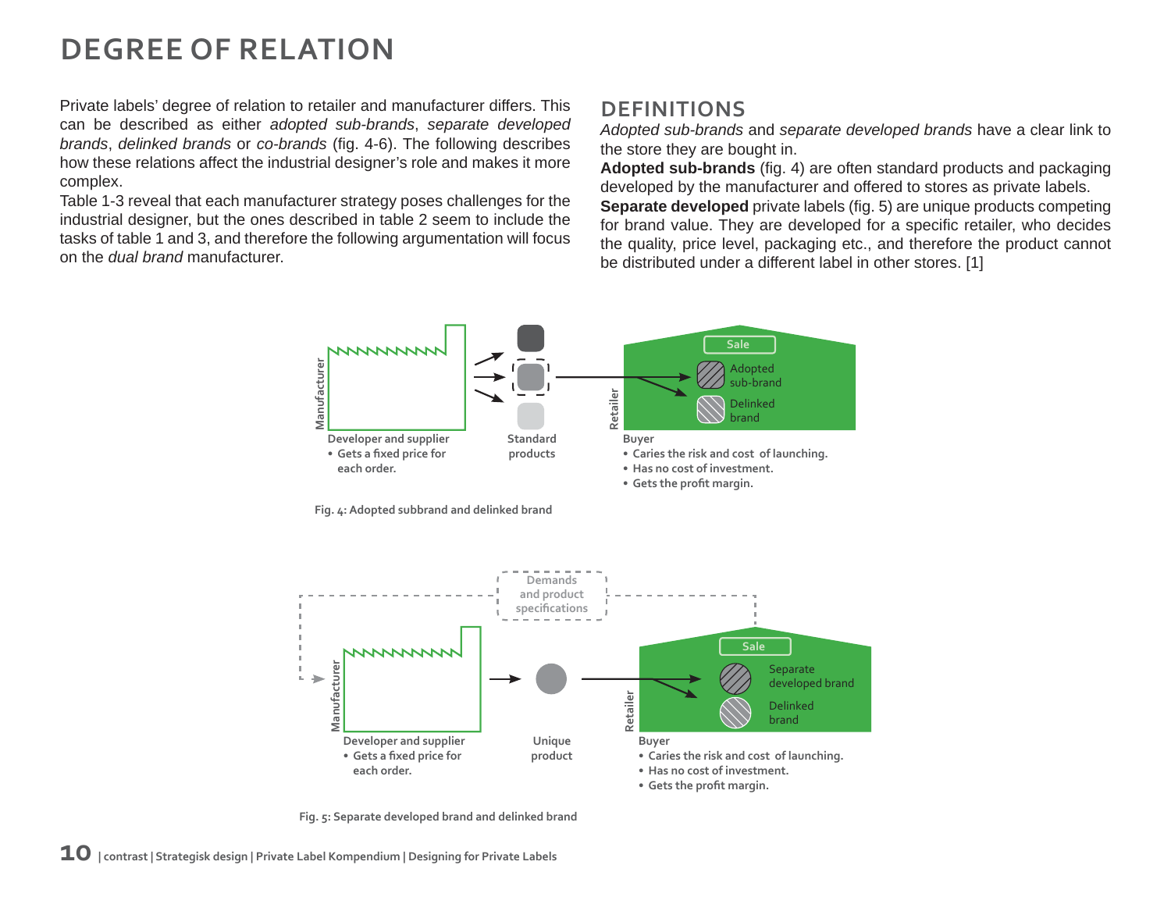## **DEGREE OF RELATION**

Private labels' degree of relation to retailer and manufacturer differs. This can be described as either *adopted sub-brands*, *separate developed brands*, *delinked brands* or *co-brands* (fig. 4-6). The following describes how these relations affect the industrial designer's role and makes it more complex.

Table 1-3 reveal that each manufacturer strategy poses challenges for the industrial designer, but the ones described in table 2 seem to include the tasks of table 1 and 3, and therefore the following argumentation will focus on the *dual brand* manufacturer.

### **DEFINITIONS**

*Adopted sub-brands* and *separate developed brands* have a clear link to the store they are bought in.

Adopted sub-brands (fig. 4) are often standard products and packaging developed by the manufacturer and offered to stores as private labels.

**Separate developed** private labels (fig. 5) are unique products competing for brand value. They are developed for a specific retailer, who decides the quality, price level, packaging etc., and therefore the product cannot be distributed under a different label in other stores. [1]



**Fig. 4: Adopted subbrand and delinked brand**



**Fig. 5: Separate developed brand and delinked brand**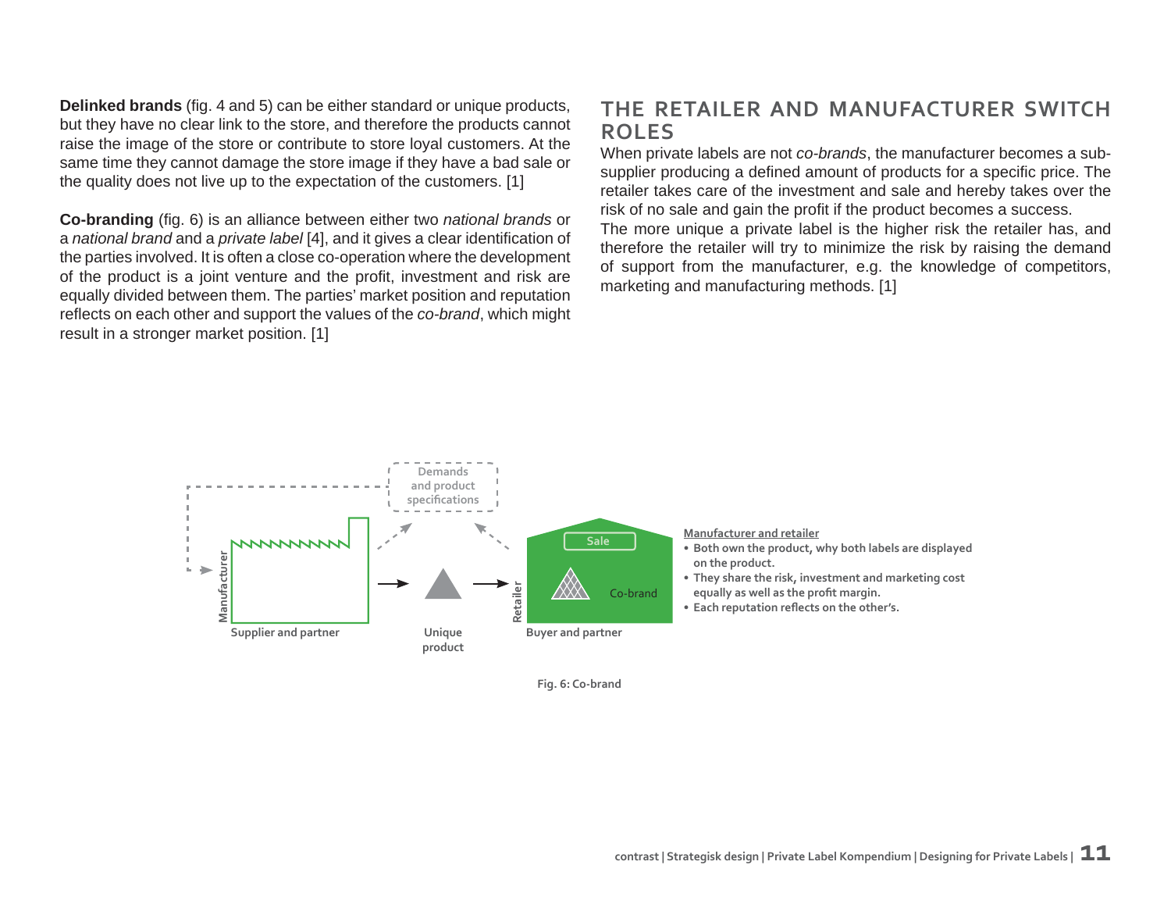**Delinked brands** (fig. 4 and 5) can be either standard or unique products, but they have no clear link to the store, and therefore the products cannot raise the image of the store or contribute to store loyal customers. At the same time they cannot damage the store image if they have a bad sale or the quality does not live up to the expectation of the customers. [1]

**Co-branding** (fig. 6) is an alliance between either two *national brands* or a *national brand* and a *private label* [4], and it gives a clear identification of the parties involved. It is often a close co-operation where the development of the product is a joint venture and the profit, investment and risk are equally divided between them. The parties' market position and reputation reflects on each other and support the values of the *co-brand*, which might result in a stronger market position. [1]

### **THE RETAILER AND MANUFACTURER SWITCH ROLES**

When private labels are not *co-brands*, the manufacturer becomes a subsupplier producing a defined amount of products for a specific price. The retailer takes care of the investment and sale and hereby takes over the risk of no sale and gain the profit if the product becomes a success. The more unique a private label is the higher risk the retailer has, and therefore the retailer will try to minimize the risk by raising the demand of support from the manufacturer, e.g. the knowledge of competitors, marketing and manufacturing methods. [1]



**Fig. 6: Co-brand**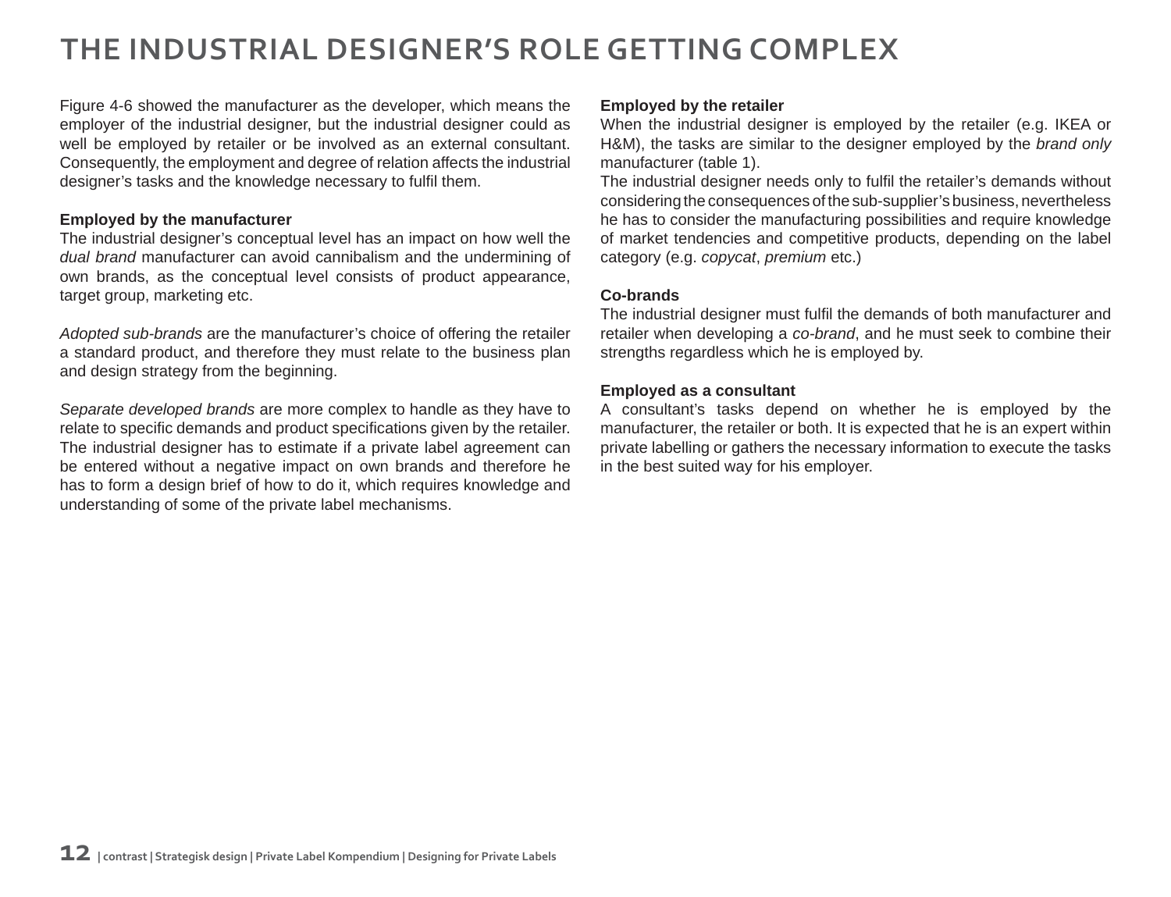## **THE INDUSTRIAL DESIGNER'S ROLE GETTING COMPLEX**

Figure 4-6 showed the manufacturer as the developer, which means the employer of the industrial designer, but the industrial designer could as well be employed by retailer or be involved as an external consultant. Consequently, the employment and degree of relation affects the industrial designer's tasks and the knowledge necessary to fulfil them.

#### **Employed by the manufacturer**

The industrial designer's conceptual level has an impact on how well the *dual brand* manufacturer can avoid cannibalism and the undermining of own brands, as the conceptual level consists of product appearance, target group, marketing etc.

*Adopted sub-brands* are the manufacturer's choice of offering the retailer a standard product, and therefore they must relate to the business plan and design strategy from the beginning.

*Separate developed brands* are more complex to handle as they have to relate to specific demands and product specifications given by the retailer. The industrial designer has to estimate if a private label agreement can be entered without a negative impact on own brands and therefore he has to form a design brief of how to do it, which requires knowledge and understanding of some of the private label mechanisms.

#### **Employed by the retailer**

When the industrial designer is employed by the retailer (e.g. IKEA or H&M), the tasks are similar to the designer employed by the *brand only* manufacturer (table 1).

The industrial designer needs only to fulfil the retailer's demands without considering the consequences of the sub-supplier's business, nevertheless he has to consider the manufacturing possibilities and require knowledge of market tendencies and competitive products, depending on the label category (e.g. *copycat*, *premium* etc.)

#### **Co-brands**

The industrial designer must fulfil the demands of both manufacturer and retailer when developing a *co-brand*, and he must seek to combine their strengths regardless which he is employed by.

#### **Employed as a consultant**

A consultant's tasks depend on whether he is employed by the manufacturer, the retailer or both. It is expected that he is an expert within private labelling or gathers the necessary information to execute the tasks in the best suited way for his employer.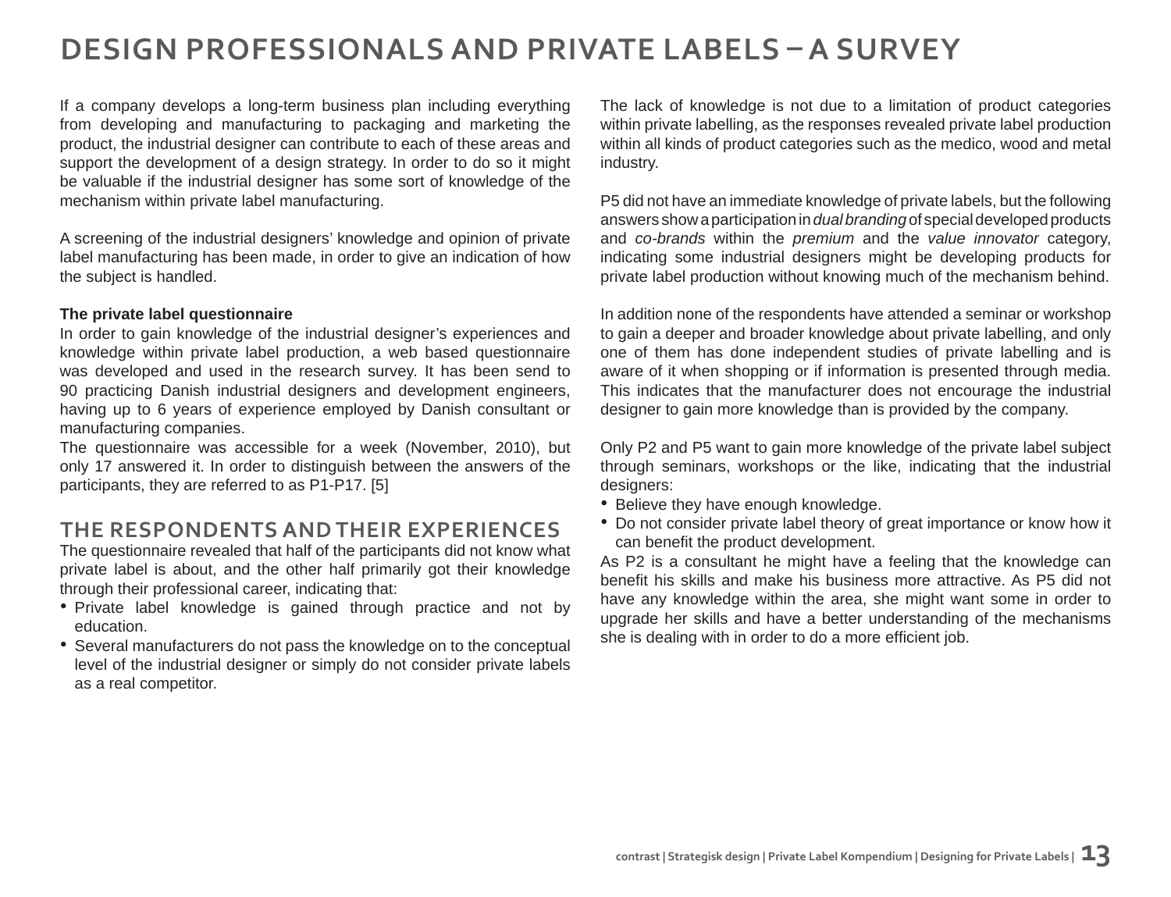## **DESIGN PROFESSIONALS AND PRIVATE LABELS ȃ A SURVEY**

If a company develops a long-term business plan including everything from developing and manufacturing to packaging and marketing the product, the industrial designer can contribute to each of these areas and support the development of a design strategy. In order to do so it might be valuable if the industrial designer has some sort of knowledge of the mechanism within private label manufacturing.

A screening of the industrial designers' knowledge and opinion of private label manufacturing has been made, in order to give an indication of how the subject is handled.

#### **The private label questionnaire**

In order to gain knowledge of the industrial designer's experiences and knowledge within private label production, a web based questionnaire was developed and used in the research survey. It has been send to 90 practicing Danish industrial designers and development engineers, having up to 6 years of experience employed by Danish consultant or manufacturing companies.

The questionnaire was accessible for a week (November, 2010), but only 17 answered it. In order to distinguish between the answers of the participants, they are referred to as P1-P17. [5]

### **THE RESPONDENTS AND THEIR EXPERIENCES**

The questionnaire revealed that half of the participants did not know what private label is about, and the other half primarily got their knowledge through their professional career, indicating that:

- Private label knowledge is gained through practice and not by education.
- Several manufacturers do not pass the knowledge on to the conceptual level of the industrial designer or simply do not consider private labels as a real competitor.

The lack of knowledge is not due to a limitation of product categories within private labelling, as the responses revealed private label production within all kinds of product categories such as the medico, wood and metal industry.

P5 did not have an immediate knowledge of private labels, but the following answers show a participation in *dual branding* of special developed products and *co-brands* within the *premium* and the *value innovator* category, indicating some industrial designers might be developing products for private label production without knowing much of the mechanism behind.

In addition none of the respondents have attended a seminar or workshop to gain a deeper and broader knowledge about private labelling, and only one of them has done independent studies of private labelling and is aware of it when shopping or if information is presented through media. This indicates that the manufacturer does not encourage the industrial designer to gain more knowledge than is provided by the company.

Only P2 and P5 want to gain more knowledge of the private label subject through seminars, workshops or the like, indicating that the industrial designers:

- Believe they have enough knowledge.
- Do not consider private label theory of great importance or know how it can benefit the product development.

As P2 is a consultant he might have a feeling that the knowledge can benefit his skills and make his business more attractive. As P5 did not have any knowledge within the area, she might want some in order to upgrade her skills and have a better understanding of the mechanisms she is dealing with in order to do a more efficient job.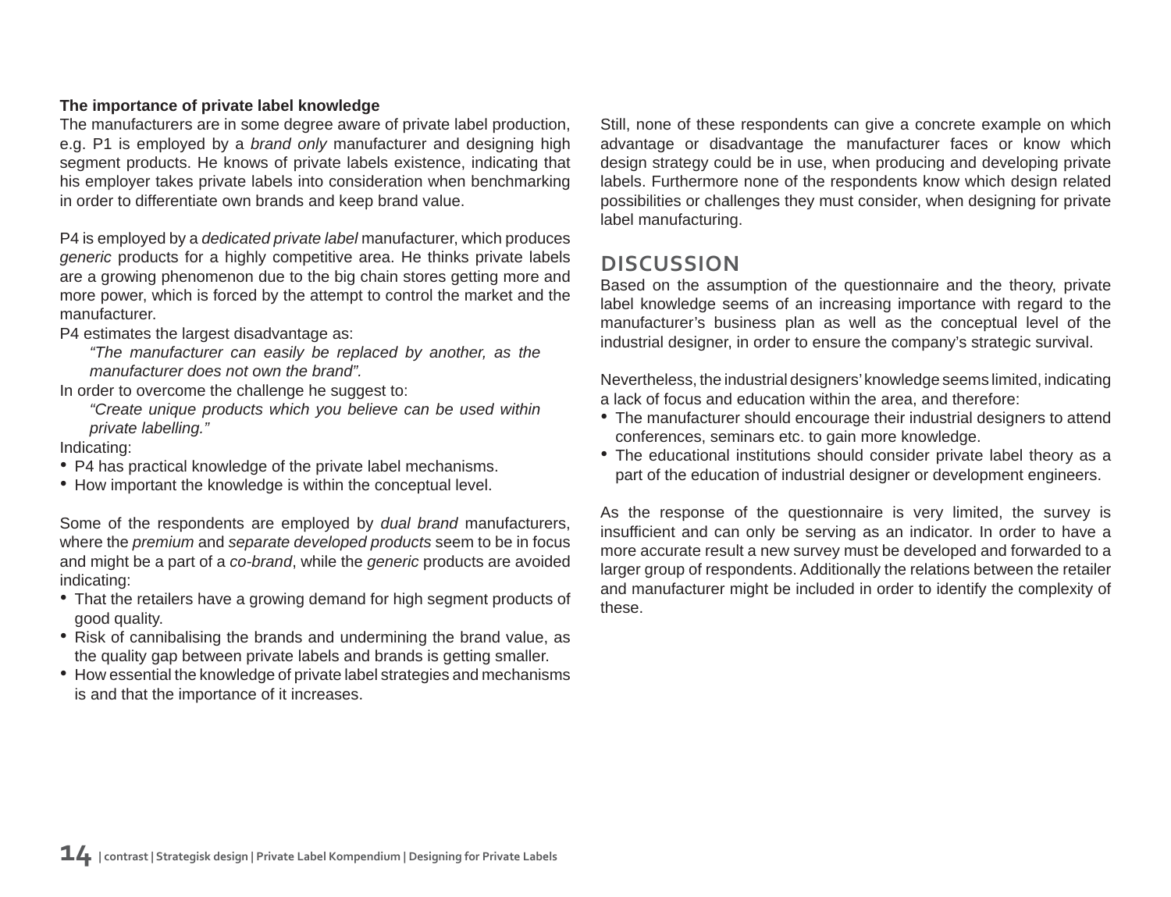#### **The importance of private label knowledge**

The manufacturers are in some degree aware of private label production, e.g. P1 is employed by a *brand only* manufacturer and designing high segment products. He knows of private labels existence, indicating that his employer takes private labels into consideration when benchmarking in order to differentiate own brands and keep brand value.

P4 is employed by a *dedicated private label* manufacturer, which produces *generic* products for a highly competitive area. He thinks private labels are a growing phenomenon due to the big chain stores getting more and more power, which is forced by the attempt to control the market and the manufacturer.

P4 estimates the largest disadvantage as:

*"The manufacturer can easily be replaced by another, as the manufacturer does not own the brand".*

In order to overcome the challenge he suggest to:

*"Create unique products which you believe can be used within private labelling."*

#### Indicating:

- P4 has practical knowledge of the private label mechanisms.
- How important the knowledge is within the conceptual level.

Some of the respondents are employed by *dual brand* manufacturers, where the *premium* and *separate developed products* seem to be in focus and might be a part of a *co-brand*, while the *generic* products are avoided indicating:

- That the retailers have a growing demand for high segment products of good quality.
- Risk of cannibalising the brands and undermining the brand value, as the quality gap between private labels and brands is getting smaller.
- How essential the knowledge of private label strategies and mechanisms is and that the importance of it increases.

Still, none of these respondents can give a concrete example on which advantage or disadvantage the manufacturer faces or know which design strategy could be in use, when producing and developing private labels. Furthermore none of the respondents know which design related possibilities or challenges they must consider, when designing for private label manufacturing.

### **DISCUSSION**

Based on the assumption of the questionnaire and the theory, private label knowledge seems of an increasing importance with regard to the manufacturer's business plan as well as the conceptual level of the industrial designer, in order to ensure the company's strategic survival.

Nevertheless, the industrial designers' knowledge seems limited, indicating a lack of focus and education within the area, and therefore:

- The manufacturer should encourage their industrial designers to attend conferences, seminars etc. to gain more knowledge.
- The educational institutions should consider private label theory as a part of the education of industrial designer or development engineers.

As the response of the questionnaire is very limited, the survey is insufficient and can only be serving as an indicator. In order to have a more accurate result a new survey must be developed and forwarded to a larger group of respondents. Additionally the relations between the retailer and manufacturer might be included in order to identify the complexity of these.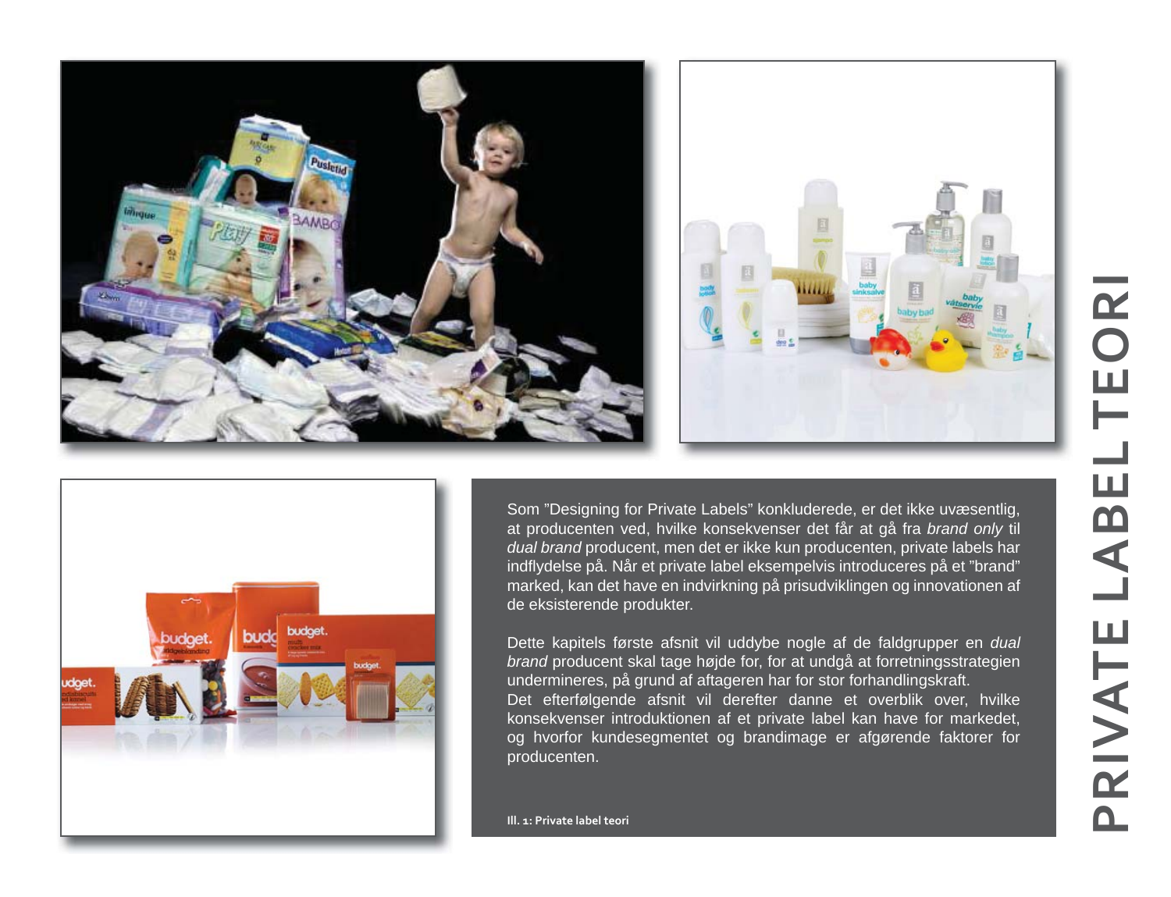



Som "Designing for Private Labels" konkluderede, er det ikke uvæsentlig, at producenten ved, hvilke konsekvenser det får at gå fra *brand only* til *dual brand* producent, men det er ikke kun producenten, private labels har indflydelse på. Når et private label eksempelvis introduceres på et "brand" marked, kan det have en indvirkning på prisudviklingen og innovationen af de eksisterende produkter.

Dette kapitels første afsnit vil uddybe nogle af de faldgrupper en *dual brand* producent skal tage højde for, for at undgå at forretningsstrategien undermineres, på grund af aftageren har for stor forhandlingskraft. Det efterfølgende afsnit vil derefter danne et overblik over, hvilke

konsekvenser introduktionen af et private label kan have for markedet, og hvorfor kundesegmentet og brandimage er afgørende faktorer for producenten.

**Ill. 1: Private label teori**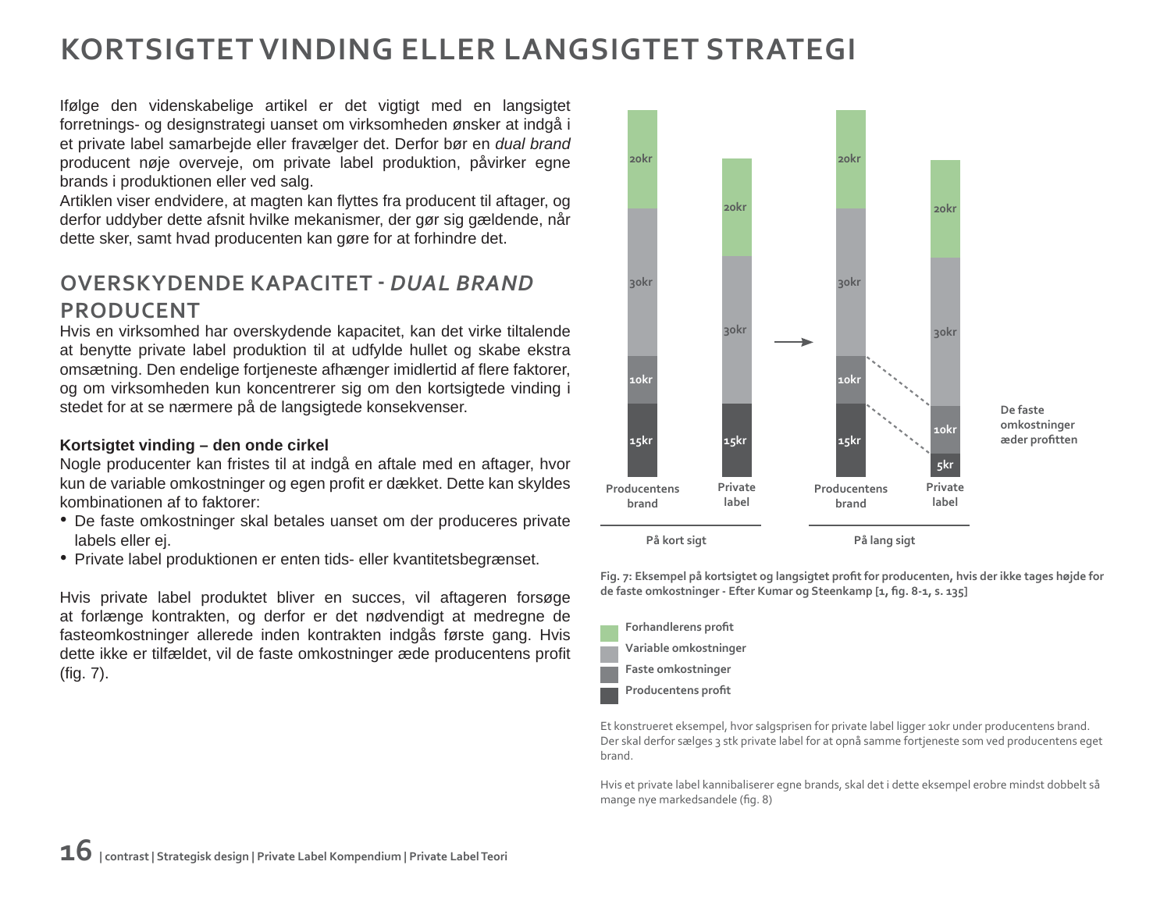## **KORTSIGTET VINDING ELLER LANGSIGTET STRATEGI**

Ifølge den videnskabelige artikel er det vigtigt med en langsigtet forretnings- og designstrategi uanset om virksomheden ønsker at indgå i et private label samarbejde eller fravælger det. Derfor bør en *dual brand*  producent nøje overveje, om private label produktion, påvirker egne brands i produktionen eller ved salg.

Artiklen viser endvidere, at magten kan flyttes fra producent til aftager, og derfor uddyber dette afsnit hvilke mekanismer, der gør sig gældende, når dette sker, samt hvad producenten kan gøre for at forhindre det.

### **OVERSKYDENDE KAPACITET ‐** *DUAL BRAND*  **PRODUCENT**

Hvis en virksomhed har overskydende kapacitet, kan det virke tiltalende at benytte private label produktion til at udfylde hullet og skabe ekstra omsætning. Den endelige fortjeneste afhænger imidlertid af flere faktorer, og om virksomheden kun koncentrerer sig om den kortsigtede vinding i stedet for at se nærmere på de langsigtede konsekvenser.

#### **Kortsigtet vinding – den onde cirkel**

Nogle producenter kan fristes til at indgå en aftale med en aftager, hvor kun de variable omkostninger og egen profit er dækket. Dette kan skyldes kombinationen af to faktorer:

- De faste omkostninger skal betales uanset om der produceres private labels eller ej.
- Private label produktionen er enten tids- eller kvantitetsbegrænset.

Hvis private label produktet bliver en succes, vil aftageren forsøge at forlænge kontrakten, og derfor er det nødvendigt at medregne de fasteomkostninger allerede inden kontrakten indgås første gang. Hvis dette ikke er tilfældet, vil de faste omkostninger æde producentens profit  $(fiq. 7)$ .



Fig. 7: Eksempel på kortsigtet og langsigtet profit for producenten, hvis der ikke tages højde for de faste omkostninger - Efter Kumar og Steenkamp [1, fig. 8-1, s. 135]

| Forhandlerens profit  |
|-----------------------|
| Variable omkostninger |
| Faste omkostninger    |
| Producentens profit   |
|                       |

Et konstrueret eksempel, hvor salgsprisen for private label ligger 10kr under producentens brand. Der skal derfor sælges 3 stk private label for at opnå samme fortjeneste som ved producentens eget brand.

Hvis et private label kannibaliserer egne brands, skal det i dette eksempel erobre mindst dobbelt så mange nye markedsandele (fig. 8)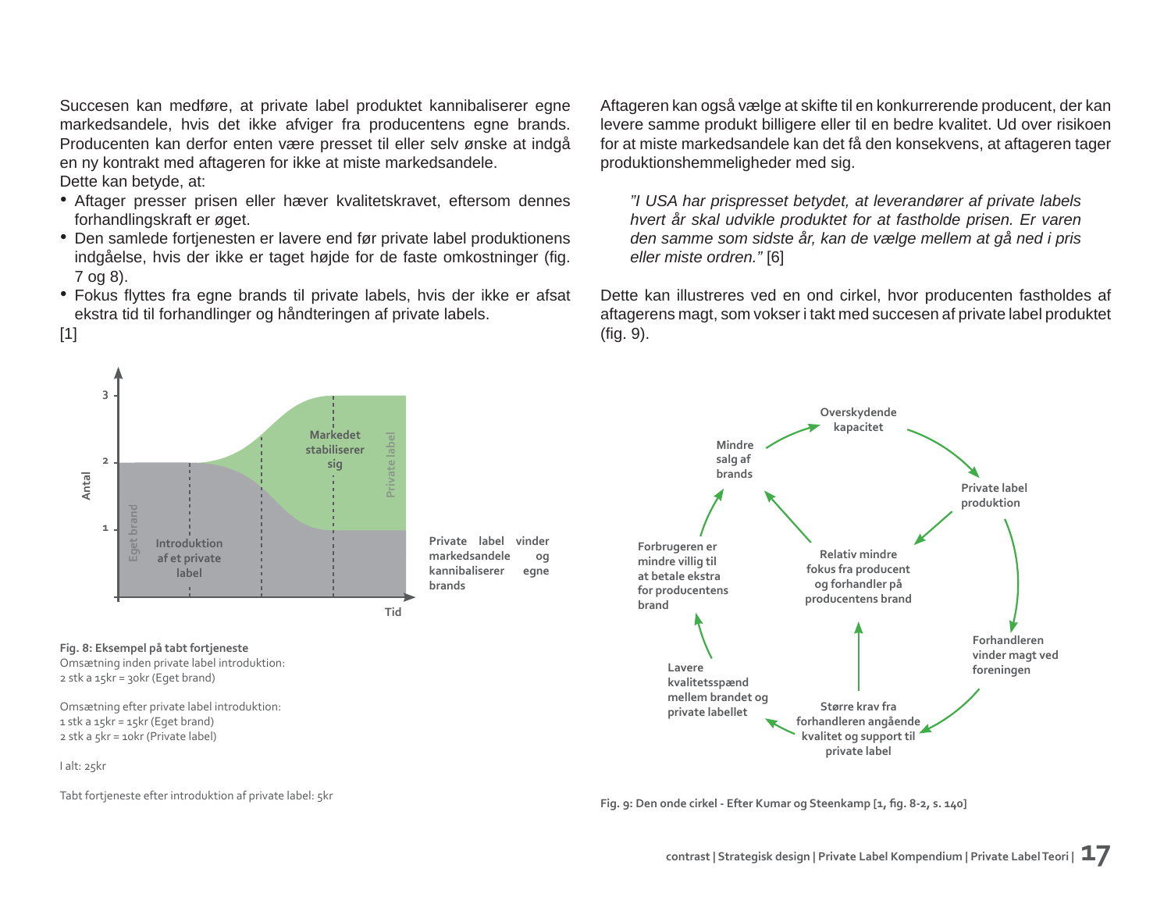Succesen kan medføre, at private label produktet kannibaliserer egne markedsandele, hvis det ikke afviger fra producentens egne brands. Producenten kan derfor enten være presset til eller selv ønske at indgå en ny kontrakt med aftageren for ikke at miste markedsandele. Dette kan betyde, at:

- Aftager presser prisen eller hæver kvalitetskravet, eftersom dennes forhandlingskraft er øget.
- Den samlede fortjenesten er lavere end før private label produktionens indgåelse, hvis der ikke er taget højde for de faste omkostninger (fig. 7 og 8).
- Fokus flyttes fra egne brands til private labels, hvis der ikke er afsat ekstra tid til forhandlinger og håndteringen af private labels.

Aftageren kan også vælge at skifte til en konkurrerende producent, der kan levere samme produkt billigere eller til en bedre kvalitet. Ud over risikoen for at miste markedsandele kan det få den konsekvens, at aftageren tager produktionshemmeligheder med sig.

*"I USA har prispresset betydet, at leverandører af private labels hvert år skal udvikle produktet for at fastholde prisen. Er varen den samme som sidste år, kan de vælge mellem at gå ned i pris eller miste ordren."* [6]

Dette kan illustreres ved en ond cirkel, hvor producenten fastholdes af aftagerens magt, som vokser i takt med succesen af private label produktet  $(fiq. 9)$ .



I alt: 25kr

[1]

Tabt fortjeneste efter introduktion af private label: 5kr

Fig. 9: Den onde cirkel - Efter Kumar og Steenkamp [1, fig. 8-2, s. 140]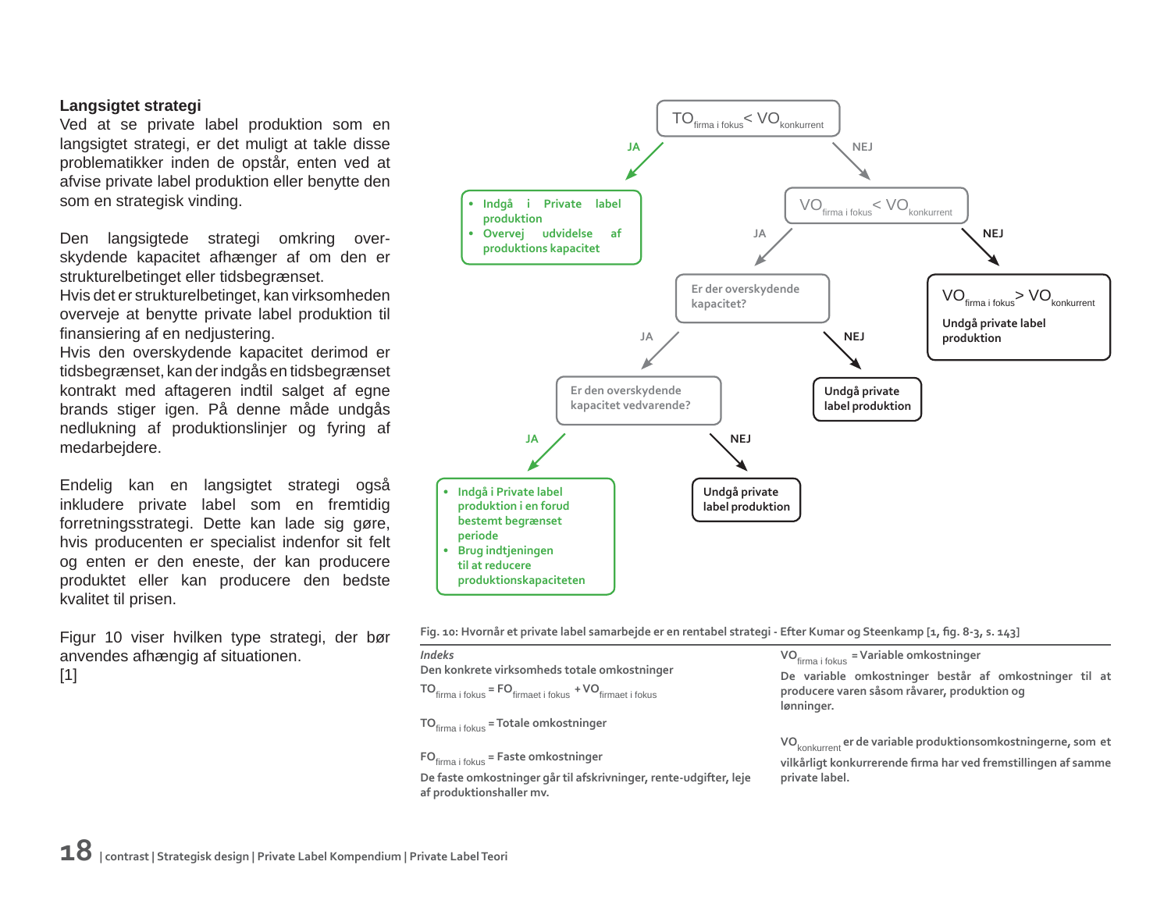#### **Langsigtet strategi**

Ved at se private label produktion som en langsigtet strategi, er det muligt at takle disse problematikker inden de opstår, enten ved at afvise private label produktion eller benytte den som en strategisk vinding.

Den langsigtede strategi omkring overskydende kapacitet afhænger af om den er strukturelbetinget eller tidsbegrænset.

Hvis det er strukturelbetinget, kan virksomheden overveje at benytte private label produktion til finansiering af en nedjustering.

Hvis den overskydende kapacitet derimod er tidsbegrænset, kan der indgås en tidsbegrænset kontrakt med aftageren indtil salget af egne brands stiger igen. På denne måde undgås nedlukning af produktionslinjer og fyring af medarbejdere.

Endelig kan en langsigtet strategi også inkludere private label som en fremtidig forretningsstrategi. Dette kan lade sig gøre, hvis producenten er specialist indenfor sit felt og enten er den eneste, der kan producere produktet eller kan producere den bedste kvalitet til prisen.

Figur 10 viser hvilken type strategi, der bør anvendes afhængig af situationen.

 $[1]$ 



Fig. 10: Hvornår et private label samarbejde er en rentabel strategi - Efter Kumar og Steenkamp [1, fig. 8-3, s. 143]

*Indeks* **Den konkrete virksomheds totale omkostninger TO** firma i fokus **= FO** firmaet i fokus **+ VO** firmaet i fokus

**TO**fi rma i fokus **= Totale omkostninger**

**FO**<sub>firma i fokus</sub> = **Faste omkostninger** 

**De faste omkostninger går til afskrivninger, rente-udgifter, leje af produktionshaller mv.**

**VO**<sub>firma i fokus</sub> = **Variable omkostninger** 

**De variable omkostninger består af omkostninger til at producere varen såsom råvarer, produktion og lønninger.**

**VO**konkurrent **er de variable produktionsomkostningerne, som et** 

**vilkårligt konkurrerende fi rma har ved fremstillingen af samme private label.**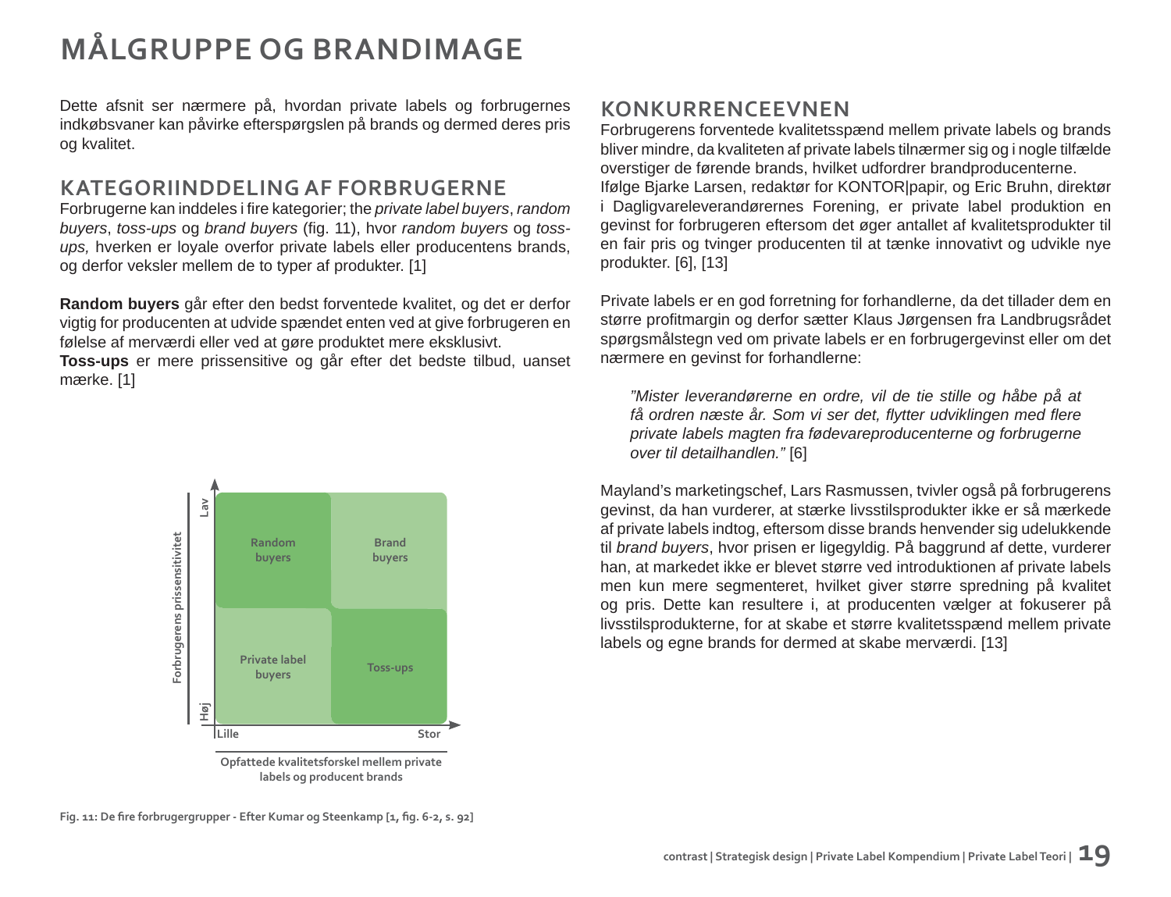# **MÅLGRUPPE OG BRANDIMAGE**

Dette afsnit ser nærmere på, hvordan private labels og forbrugernes indkøbsvaner kan påvirke efterspørgslen på brands og dermed deres pris og kvalitet.

### **KATEGORIINDDELING AF FORBRUGERNE**

Forbrugerne kan inddeles i fire kategorier; the *private label buyers*, *random buyers*, *toss-ups* og *brand buyers* (fig. 11), hvor *random buyers* og *tossups,* hverken er loyale overfor private labels eller producentens brands, og derfor veksler mellem de to typer af produkter. [1]

**Random buyers** går efter den bedst forventede kvalitet, og det er derfor vigtig for producenten at udvide spændet enten ved at give forbrugeren en følelse af merværdi eller ved at gøre produktet mere eksklusivt.

**Toss-ups** er mere prissensitive og går efter det bedste tilbud, uanset mærke. [1]



**Opfattede kvalitetsforskel mellem private labels og producent brands**

### **KONKURRENCEEVNEN**

Forbrugerens forventede kvalitetsspænd mellem private labels og brands bliver mindre, da kvaliteten af private labels tilnærmer sig og i nogle tilfælde overstiger de førende brands, hvilket udfordrer brandproducenterne. Ifølge Bjarke Larsen, redaktør for KONTOR|papir, og Eric Bruhn, direktør i Dagligvareleverandørernes Forening, er private label produktion en gevinst for forbrugeren eftersom det øger antallet af kvalitetsprodukter til en fair pris og tvinger producenten til at tænke innovativt og udvikle nye produkter. [6], [13]

Private labels er en god forretning for forhandlerne, da det tillader dem en større profitmargin og derfor sætter Klaus Jørgensen fra Landbrugsrådet spørgsmålstegn ved om private labels er en forbrugergevinst eller om det nærmere en gevinst for forhandlerne:

*"Mister leverandørerne en ordre, vil de tie stille og håbe på at få ordren næste år. Som vi ser det, fl ytter udviklingen med fl ere private labels magten fra fødevareproducenterne og forbrugerne over til detailhandlen."* [6]

Mayland's marketingschef, Lars Rasmussen, tvivler også på forbrugerens gevinst, da han vurderer, at stærke livsstilsprodukter ikke er så mærkede af private labels indtog, eftersom disse brands henvender sig udelukkende til *brand buyers*, hvor prisen er ligegyldig. På baggrund af dette, vurderer han, at markedet ikke er blevet større ved introduktionen af private labels men kun mere segmenteret, hvilket giver større spredning på kvalitet og pris. Dette kan resultere i, at producenten vælger at fokuserer på livsstilsprodukterne, for at skabe et større kvalitetsspænd mellem private labels og egne brands for dermed at skabe merværdi. [13]

Fig. 11: De fire forbrugergrupper - Efter Kumar og Steenkamp [1, fig. 6-2, s. 92]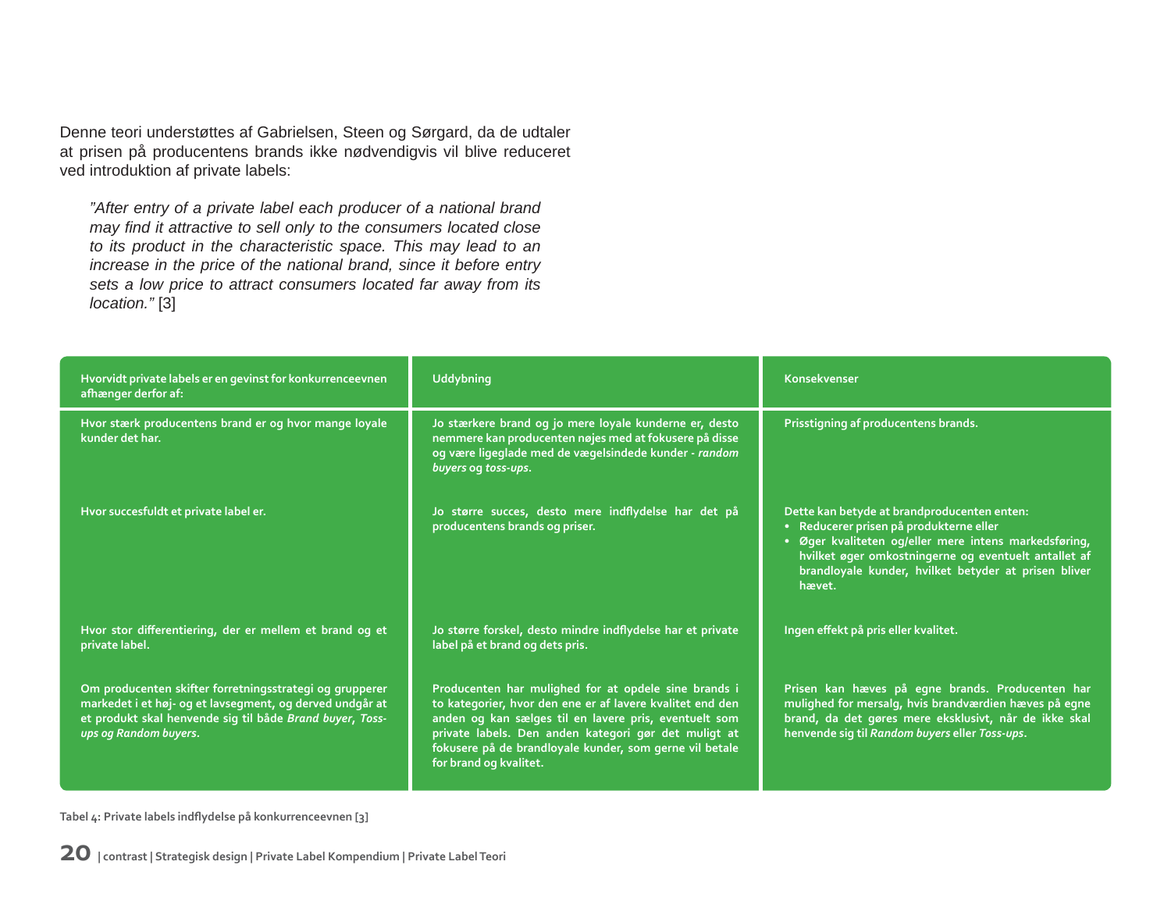Denne teori understøttes af Gabrielsen, Steen og Sørgard, da de udtaler at prisen på producentens brands ikke nødvendigvis vil blive reduceret ved introduktion af private labels:

*"After entry of a private label each producer of a national brand may fi nd it attractive to sell only to the consumers located close to its product in the characteristic space. This may lead to an increase in the price of the national brand, since it before entry sets a low price to attract consumers located far away from its location."* [3]

| Hvorvidt private labels er en gevinst for konkurrenceevnen<br>afhænger derfor af:                                                                                                                        | <b>Uddybning</b>                                                                                                                                                                                                                                                                                                        | Konsekvenser                                                                                                                                                                                                                                                            |
|----------------------------------------------------------------------------------------------------------------------------------------------------------------------------------------------------------|-------------------------------------------------------------------------------------------------------------------------------------------------------------------------------------------------------------------------------------------------------------------------------------------------------------------------|-------------------------------------------------------------------------------------------------------------------------------------------------------------------------------------------------------------------------------------------------------------------------|
| Hvor stærk producentens brand er og hvor mange loyale<br>kunder det har.                                                                                                                                 | Jo stærkere brand og jo mere loyale kunderne er, desto<br>nemmere kan producenten nøjes med at fokusere på disse<br>og være ligeglade med de vægelsindede kunder - random<br>buyers og toss-ups.                                                                                                                        | Prisstigning af producentens brands.                                                                                                                                                                                                                                    |
| Hvor succesfuldt et private label er.                                                                                                                                                                    | Jo større succes, desto mere indflydelse har det på<br>producentens brands og priser.                                                                                                                                                                                                                                   | Dette kan betyde at brandproducenten enten:<br>· Reducerer prisen på produkterne eller<br>Øger kvaliteten og/eller mere intens markedsføring,<br>hvilket øger omkostningerne og eventuelt antallet af<br>brandloyale kunder, hvilket betyder at prisen bliver<br>hævet. |
| Hvor stor differentiering, der er mellem et brand og et<br>private label.                                                                                                                                | Jo større forskel, desto mindre indflydelse har et private<br>label på et brand og dets pris.                                                                                                                                                                                                                           | Ingen effekt på pris eller kvalitet.                                                                                                                                                                                                                                    |
| Om producenten skifter forretningsstrategi og grupperer<br>markedet i et høj- og et lavsegment, og derved undgår at<br>et produkt skal henvende sig til både Brand buyer, Toss-<br>ups og Random buyers. | Producenten har mulighed for at opdele sine brands i<br>to kategorier, hvor den ene er af lavere kvalitet end den<br>anden og kan sælges til en lavere pris, eventuelt som<br>private labels. Den anden kategori gør det muligt at<br>fokusere på de brandloyale kunder, som gerne vil betale<br>for brand og kvalitet. | Prisen kan hæves på egne brands. Producenten har<br>mulighed for mersalg, hvis brandværdien hæves på egne<br>brand, da det gøres mere eksklusivt, når de ikke skal<br>henvende sig til Random buyers eller Toss-ups.                                                    |

**Tabel 4: Private labels indfl ydelse på konkurrenceevnen [3]**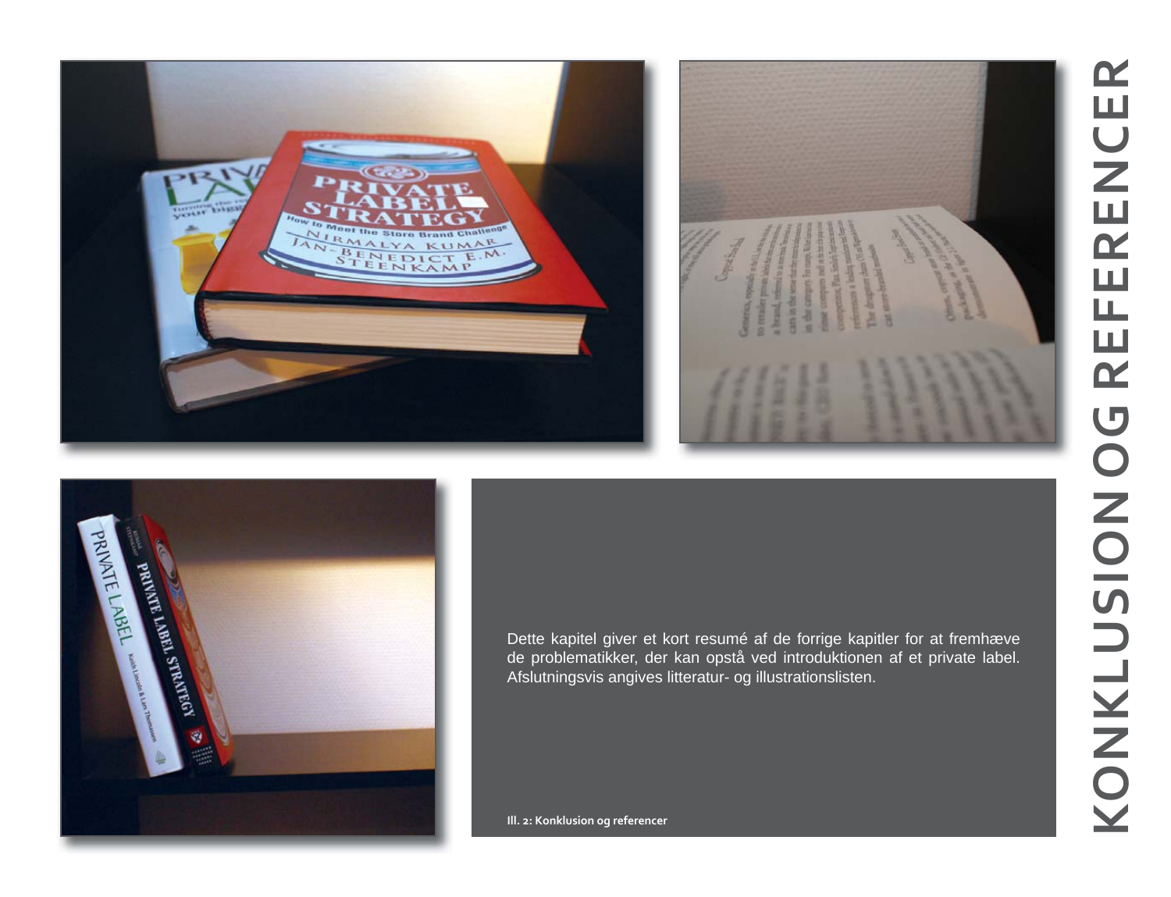



Dette kapitel giver et kort resumé af de forrige kapitler for at fremhæve de problematikker, der kan opstå ved introduktionen af et private label. Afslutningsvis angives litteratur- og illustrationslisten.

**Ill. 2: Konklusion og referencer**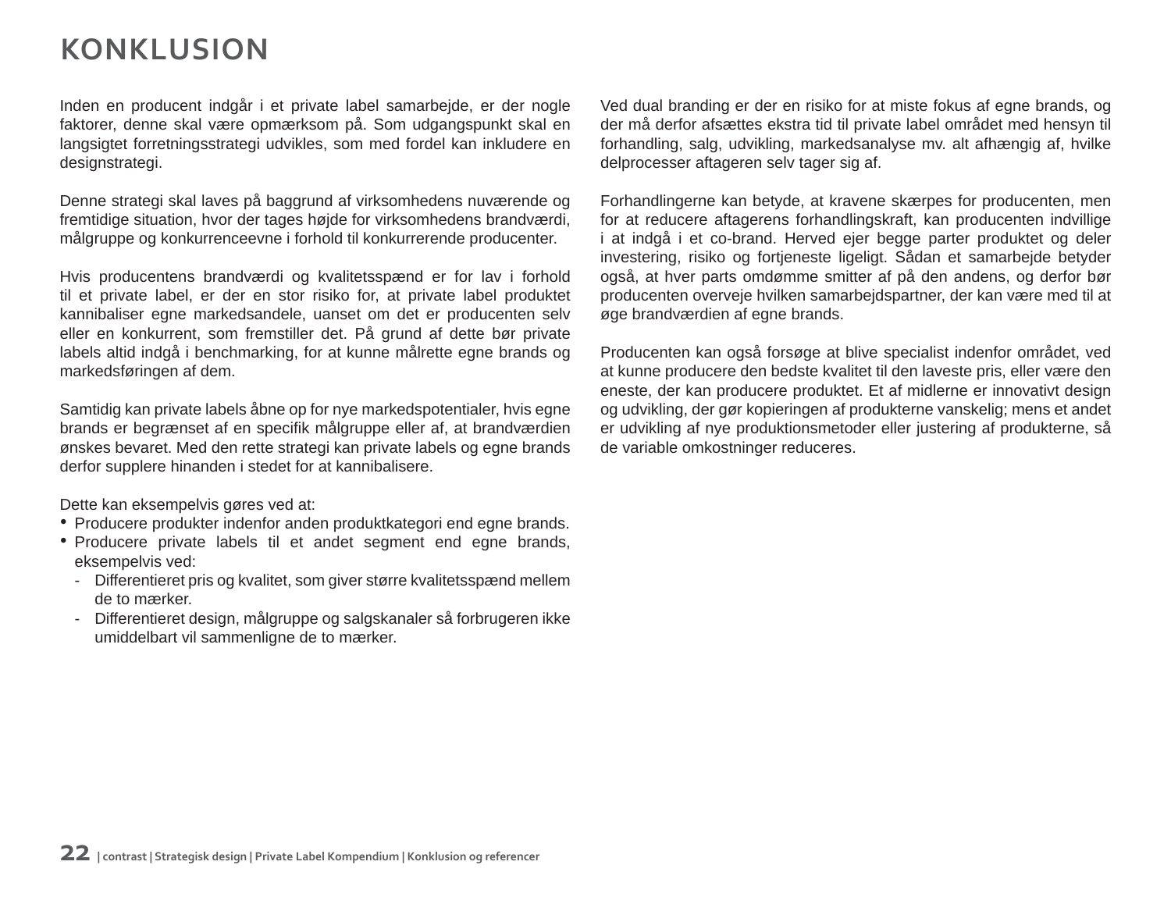## **KONKLUSION**

Inden en producent indgår i et private label samarbejde, er der nogle faktorer, denne skal være opmærksom på. Som udgangspunkt skal en langsigtet forretningsstrategi udvikles, som med fordel kan inkludere en designstrategi.

Denne strategi skal laves på baggrund af virksomhedens nuværende og fremtidige situation, hvor der tages højde for virksomhedens brandværdi, målgruppe og konkurrenceevne i forhold til konkurrerende producenter.

Hvis producentens brandværdi og kvalitetsspænd er for lav i forhold til et private label, er der en stor risiko for, at private label produktet kannibaliser egne markedsandele, uanset om det er producenten selv eller en konkurrent, som fremstiller det. På grund af dette bør private labels altid indgå i benchmarking, for at kunne målrette egne brands og markedsføringen af dem.

Samtidig kan private labels åbne op for nye markedspotentialer, hvis egne brands er begrænset af en specifik målgruppe eller af, at brandværdien ønskes bevaret. Med den rette strategi kan private labels og egne brands derfor supplere hinanden i stedet for at kannibalisere.

Dette kan eksempelvis gøres ved at:

- Producere produkter indenfor anden produktkategori end egne brands.
- Producere private labels til et andet segment end egne brands, eksempelvis ved:
	- Differentieret pris og kvalitet, som giver større kvalitetsspænd mellem de to mærker.
	- Differentieret design, målgruppe og salgskanaler så forbrugeren ikke umiddelbart vil sammenligne de to mærker.

Ved dual branding er der en risiko for at miste fokus af egne brands, og der må derfor afsættes ekstra tid til private label området med hensyn til forhandling, salg, udvikling, markedsanalyse mv. alt afhængig af, hvilke delprocesser aftageren selv tager sig af.

Forhandlingerne kan betyde, at kravene skærpes for producenten, men for at reducere aftagerens forhandlingskraft, kan producenten indvillige i at indgå i et co-brand. Herved ejer begge parter produktet og deler investering, risiko og fortjeneste ligeligt. Sådan et samarbejde betyder også, at hver parts omdømme smitter af på den andens, og derfor bør producenten overveje hvilken samarbejdspartner, der kan være med til at øge brandværdien af egne brands.

Producenten kan også forsøge at blive specialist indenfor området, ved at kunne producere den bedste kvalitet til den laveste pris, eller være den eneste, der kan producere produktet. Et af midlerne er innovativt design og udvikling, der gør kopieringen af produkterne vanskelig; mens et andet er udvikling af nye produktionsmetoder eller justering af produkterne, så de variable omkostninger reduceres.